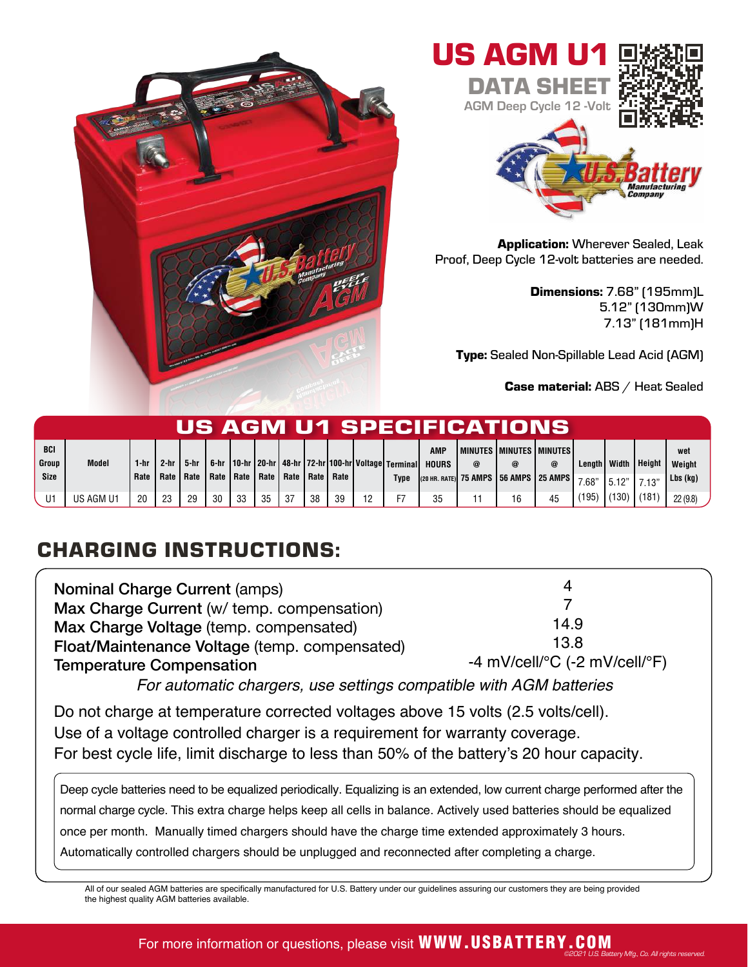



Application: Wherever Sealed, Leak Proof, Deep Cycle 12-volt batteries are needed.

> Dimensions: 7.68" (195mm)L 5.12" (130mm)W 7.13" (181mm)H

Type: Sealed Non-Spillable Lead Acid (AGM)

Case material: ABS / Heat Sealed

| US AGM U1 SPECIFICATIONS |              |            |            |            |            |                   |            |            |    |                     |    |                                                             |                            |   |                                                   |    |                                      |                |              |                     |
|--------------------------|--------------|------------|------------|------------|------------|-------------------|------------|------------|----|---------------------|----|-------------------------------------------------------------|----------------------------|---|---------------------------------------------------|----|--------------------------------------|----------------|--------------|---------------------|
| <b>BCI</b><br>Group      | <b>Model</b> | 1-hr       | 2-hr       | 5-hr       | 6-hr       |                   |            |            |    |                     |    | 10-hr   20-hr   48-hr   72-hr   100-hr   Voltage   Terminal | <b>AMP</b><br><b>HOURS</b> | @ | I MINUTES I MINUTES I MINUTES<br>@                | @  | Lenath I                             | Width          | Height       | wet<br>Weight       |
| <b>Size</b><br>U1        | US AGM U1    | Rate<br>20 | Rate<br>23 | Rate<br>29 | Rate<br>30 | <b>Rate</b><br>33 | Rate<br>35 | Rate<br>37 | 38 | l Rate   Rate<br>39 | 19 | Type                                                        | 35                         |   | (20 HR. RATE) 75 AMPS   56 AMPS   25 AMPS  <br>16 | 45 | 7.68"<br>$^{\prime}$ 195 $^{\prime}$ | 5.12"<br>(130) | 7.13<br>(181 | Lbs (kg)<br>22(9.8) |

## CHARGING INSTRUCTIONS:

| <b>Nominal Charge Current (amps)</b>                               |                                                         |  |  |  |  |  |
|--------------------------------------------------------------------|---------------------------------------------------------|--|--|--|--|--|
| Max Charge Current (w/ temp. compensation)                         |                                                         |  |  |  |  |  |
| Max Charge Voltage (temp. compensated)                             | 14.9                                                    |  |  |  |  |  |
| Float/Maintenance Voltage (temp. compensated)                      | 13.8                                                    |  |  |  |  |  |
| <b>Temperature Compensation</b>                                    | -4 mV/cell/ ${}^{\circ}$ C (-2 mV/cell/ ${}^{\circ}$ F) |  |  |  |  |  |
| For automatic chargers, use settings compatible with AGM batteries |                                                         |  |  |  |  |  |

Do not charge at temperature corrected voltages above 15 volts (2.5 volts/cell). Use of a voltage controlled charger is a requirement for warranty coverage. For best cycle life, limit discharge to less than 50% of the battery's 20 hour capacity.

Deep cycle batteries need to be equalized periodically. Equalizing is an extended, low current charge performed after the normal charge cycle. This extra charge helps keep all cells in balance. Actively used batteries should be equalized once per month. Manually timed chargers should have the charge time extended approximately 3 hours. Automatically controlled chargers should be unplugged and reconnected after completing a charge.

All of our sealed AGM batteries are specifically manufactured for U.S. Battery under our guidelines assuring our customers they are being provided the highest quality AGM batteries available.